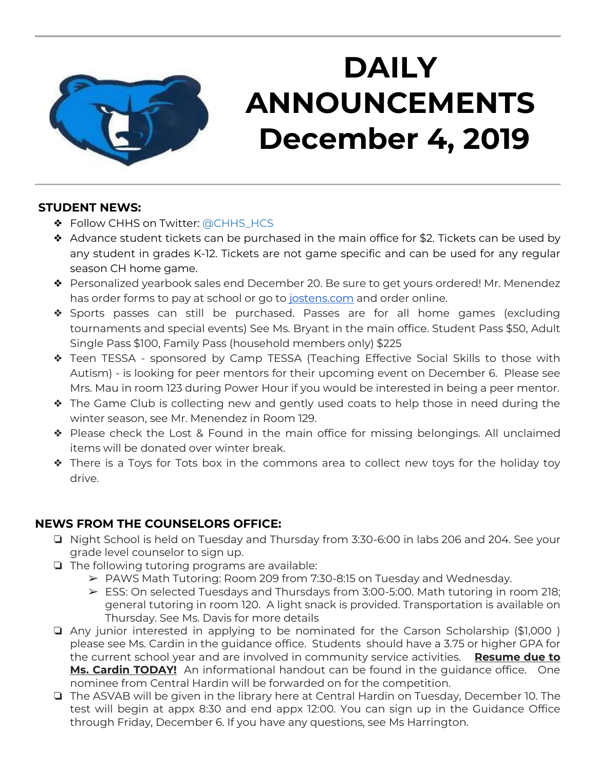

## **DAILY ANNOUNCEMENTS December 4, 2019**

#### **STUDENT NEWS:**

- ❖ Follow CHHS on Twitter: [@CHHS\\_HCS](https://twitter.com/CHHS_HCS)
- ❖ Advance student tickets can be purchased in the main office for \$2. Tickets can be used by any student in grades K-12. Tickets are not game specific and can be used for any regular season CH home game.
- ❖ Personalized yearbook sales end December 20. Be sure to get yours ordered! Mr. Menendez has order forms to pay at school or go to [jostens.com](http://jostens.com/) and order online.
- ❖ Sports passes can still be purchased. Passes are for all home games (excluding tournaments and special events) See Ms. Bryant in the main office. Student Pass \$50, Adult Single Pass \$100, Family Pass (household members only) \$225
- ❖ Teen TESSA sponsored by Camp TESSA (Teaching Effective Social Skills to those with Autism) - is looking for peer mentors for their upcoming event on December 6. Please see Mrs. Mau in room 123 during Power Hour if you would be interested in being a peer mentor.
- ❖ The Game Club is collecting new and gently used coats to help those in need during the winter season, see Mr. Menendez in Room 129.
- ❖ Please check the Lost & Found in the main office for missing belongings. All unclaimed items will be donated over winter break.
- ❖ There is a Toys for Tots box in the commons area to collect new toys for the holiday toy drive.

## **NEWS FROM THE COUNSELORS OFFICE:**

- ❏ Night School is held on Tuesday and Thursday from 3:30-6:00 in labs 206 and 204. See your grade level counselor to sign up.
- ❏ The following tutoring programs are available:
	- $\triangleright$  PAWS Math Tutoring: Room 209 from 7:30-8:15 on Tuesday and Wednesday.
	- $\triangleright$  ESS: On selected Tuesdays and Thursdays from 3:00-5:00. Math tutoring in room 218; general tutoring in room 120. A light snack is provided. Transportation is available on Thursday. See Ms. Davis for more details
- ❏ Any junior interested in applying to be nominated for the Carson Scholarship (\$1,000 ) please see Ms. Cardin in the guidance office. Students should have a 3.75 or higher GPA for the current school year and are involved in community service activities. **Resume due to Ms. Cardin TODAY!** An informational handout can be found in the guidance office. One nominee from Central Hardin will be forwarded on for the competition.
- ❏ The ASVAB will be given in the library here at Central Hardin on Tuesday, December 10. The test will begin at appx 8:30 and end appx 12:00. You can sign up in the Guidance Office through Friday, December 6. If you have any questions, see Ms Harrington.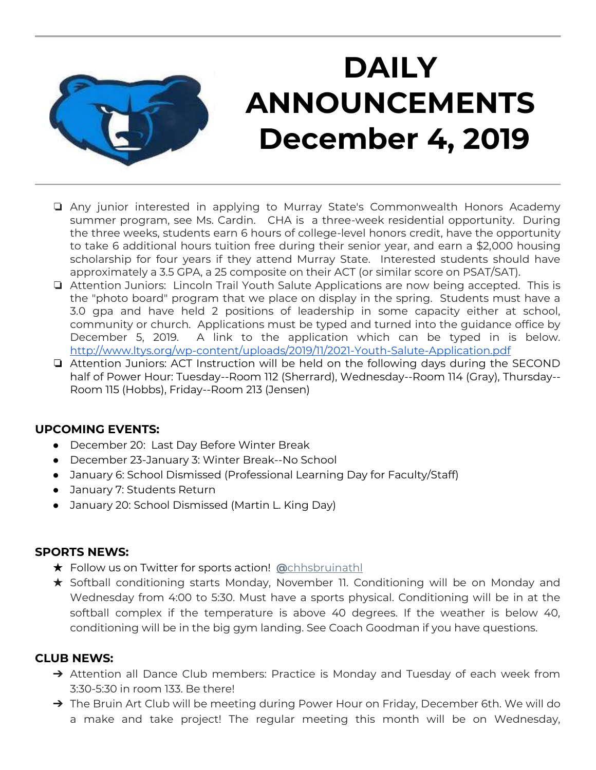

## **DAILY ANNOUNCEMENTS December 4, 2019**

- ❏ Any junior interested in applying to Murray State's Commonwealth Honors Academy summer program, see Ms. Cardin. CHA is a three-week residential opportunity. During the three weeks, students earn 6 hours of college-level honors credit, have the opportunity to take 6 additional hours tuition free during their senior year, and earn a \$2,000 housing scholarship for four years if they attend Murray State. Interested students should have approximately a 3.5 GPA, a 25 composite on their ACT (or similar score on PSAT/SAT).
- ❏ Attention Juniors: Lincoln Trail Youth Salute Applications are now being accepted. This is the "photo board" program that we place on display in the spring. Students must have a 3.0 gpa and have held 2 positions of leadership in some capacity either at school, community or church. Applications must be typed and turned into the guidance office by December 5, 2019. A link to the application which can be typed in is below. <http://www.ltys.org/wp-content/uploads/2019/11/2021-Youth-Salute-Application.pdf>
- ❏ Attention Juniors: ACT Instruction will be held on the following days during the SECOND half of Power Hour: Tuesday--Room 112 (Sherrard), Wednesday--Room 114 (Gray), Thursday-- Room 115 (Hobbs), Friday--Room 213 (Jensen)

## **UPCOMING EVENTS:**

- December 20: Last Day Before Winter Break
- December 23-January 3: Winter Break--No School
- January 6: School Dismissed (Professional Learning Day for Faculty/Staff)
- January 7: Students Return
- January 20: School Dismissed (Martin L. King Day)

### **SPORTS NEWS:**

- ★ Follow us on Twitter for sports action! **[@](https://twitter.com/chhsbruinathl)**[chhsbruinathl](https://twitter.com/chhsbruinathl)
- ★ Softball conditioning starts Monday, November 11. Conditioning will be on Monday and Wednesday from 4:00 to 5:30. Must have a sports physical. Conditioning will be in at the softball complex if the temperature is above 40 degrees. If the weather is below 40, conditioning will be in the big gym landing. See Coach Goodman if you have questions.

### **CLUB NEWS:**

- → Attention all Dance Club members: Practice is Monday and Tuesday of each week from 3:30-5:30 in room 133. Be there!
- → The Bruin Art Club will be meeting during Power Hour on Friday, December 6th. We will do a make and take project! The regular meeting this month will be on Wednesday,